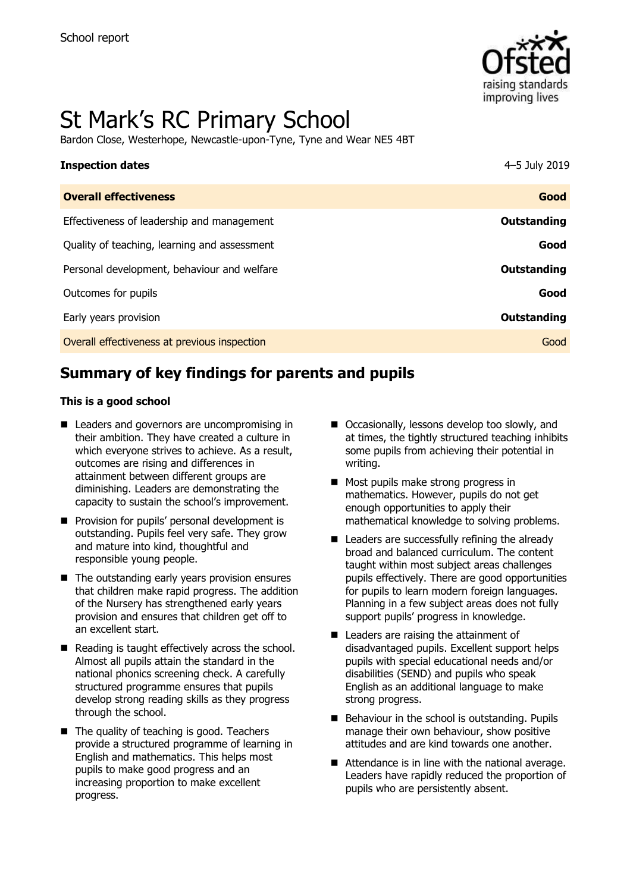

# St Mark's RC Primary School

Bardon Close, Westerhope, Newcastle-upon-Tyne, Tyne and Wear NE5 4BT

| <b>Inspection dates</b>                      | 4-5 July 2019 |
|----------------------------------------------|---------------|
| <b>Overall effectiveness</b>                 | Good          |
| Effectiveness of leadership and management   | Outstanding   |
| Quality of teaching, learning and assessment | Good          |
| Personal development, behaviour and welfare  | Outstanding   |
| Outcomes for pupils                          | Good          |
| Early years provision                        | Outstanding   |
| Overall effectiveness at previous inspection | Good          |

# **Summary of key findings for parents and pupils**

### **This is a good school**

- Leaders and governors are uncompromising in their ambition. They have created a culture in which everyone strives to achieve. As a result, outcomes are rising and differences in attainment between different groups are diminishing. Leaders are demonstrating the capacity to sustain the school's improvement.
- **Provision for pupils' personal development is** outstanding. Pupils feel very safe. They grow and mature into kind, thoughtful and responsible young people.
- The outstanding early years provision ensures that children make rapid progress. The addition of the Nursery has strengthened early years provision and ensures that children get off to an excellent start.
- $\blacksquare$  Reading is taught effectively across the school. Almost all pupils attain the standard in the national phonics screening check. A carefully structured programme ensures that pupils develop strong reading skills as they progress through the school.
- The quality of teaching is good. Teachers provide a structured programme of learning in English and mathematics. This helps most pupils to make good progress and an increasing proportion to make excellent progress.
- Occasionally, lessons develop too slowly, and at times, the tightly structured teaching inhibits some pupils from achieving their potential in writing.
- **Most pupils make strong progress in** mathematics. However, pupils do not get enough opportunities to apply their mathematical knowledge to solving problems.
- Leaders are successfully refining the already broad and balanced curriculum. The content taught within most subject areas challenges pupils effectively. There are good opportunities for pupils to learn modern foreign languages. Planning in a few subject areas does not fully support pupils' progress in knowledge.
- Leaders are raising the attainment of disadvantaged pupils. Excellent support helps pupils with special educational needs and/or disabilities (SEND) and pupils who speak English as an additional language to make strong progress.
- Behaviour in the school is outstanding. Pupils manage their own behaviour, show positive attitudes and are kind towards one another.
- Attendance is in line with the national average. Leaders have rapidly reduced the proportion of pupils who are persistently absent.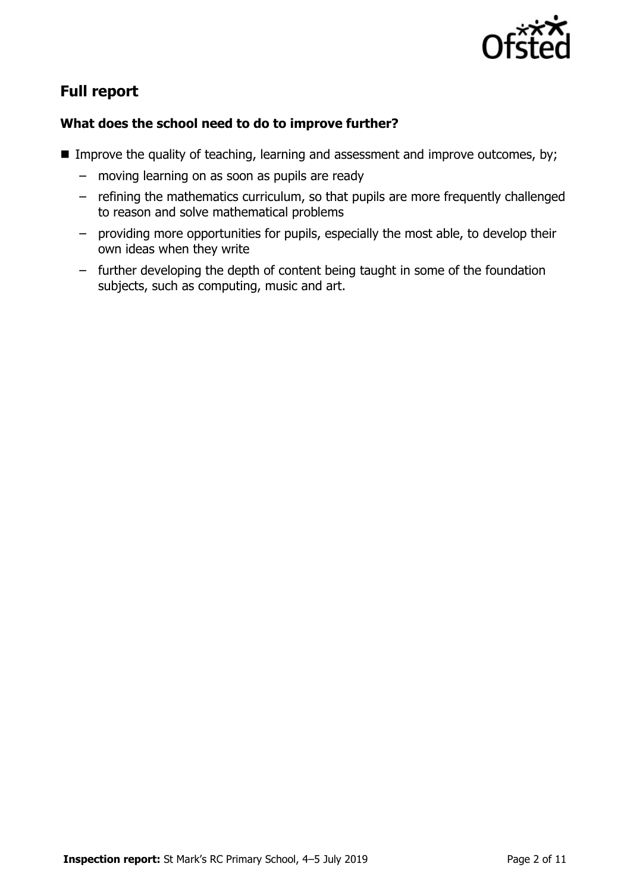

# **Full report**

### **What does the school need to do to improve further?**

- Improve the quality of teaching, learning and assessment and improve outcomes, by;
	- moving learning on as soon as pupils are ready
	- refining the mathematics curriculum, so that pupils are more frequently challenged to reason and solve mathematical problems
	- providing more opportunities for pupils, especially the most able, to develop their own ideas when they write
	- further developing the depth of content being taught in some of the foundation subjects, such as computing, music and art.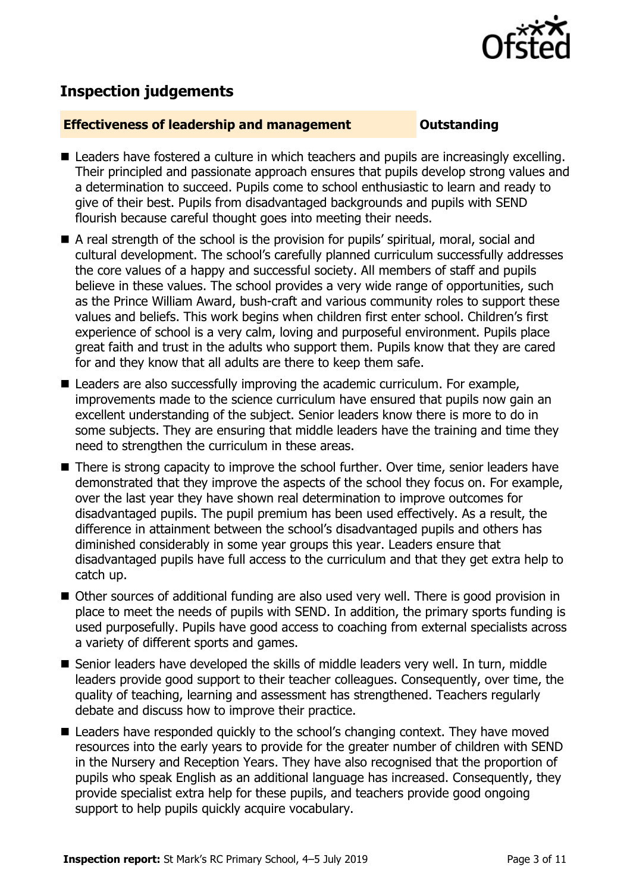

## **Inspection judgements**

### **Effectiveness of leadership and management Constanding**

- Leaders have fostered a culture in which teachers and pupils are increasingly excelling. Their principled and passionate approach ensures that pupils develop strong values and a determination to succeed. Pupils come to school enthusiastic to learn and ready to give of their best. Pupils from disadvantaged backgrounds and pupils with SEND flourish because careful thought goes into meeting their needs.
- A real strength of the school is the provision for pupils' spiritual, moral, social and cultural development. The school's carefully planned curriculum successfully addresses the core values of a happy and successful society. All members of staff and pupils believe in these values. The school provides a very wide range of opportunities, such as the Prince William Award, bush-craft and various community roles to support these values and beliefs. This work begins when children first enter school. Children's first experience of school is a very calm, loving and purposeful environment. Pupils place great faith and trust in the adults who support them. Pupils know that they are cared for and they know that all adults are there to keep them safe.
- Leaders are also successfully improving the academic curriculum. For example, improvements made to the science curriculum have ensured that pupils now gain an excellent understanding of the subject. Senior leaders know there is more to do in some subjects. They are ensuring that middle leaders have the training and time they need to strengthen the curriculum in these areas.
- There is strong capacity to improve the school further. Over time, senior leaders have demonstrated that they improve the aspects of the school they focus on. For example, over the last year they have shown real determination to improve outcomes for disadvantaged pupils. The pupil premium has been used effectively. As a result, the difference in attainment between the school's disadvantaged pupils and others has diminished considerably in some year groups this year. Leaders ensure that disadvantaged pupils have full access to the curriculum and that they get extra help to catch up.
- Other sources of additional funding are also used very well. There is good provision in place to meet the needs of pupils with SEND. In addition, the primary sports funding is used purposefully. Pupils have good access to coaching from external specialists across a variety of different sports and games.
- Senior leaders have developed the skills of middle leaders very well. In turn, middle leaders provide good support to their teacher colleagues. Consequently, over time, the quality of teaching, learning and assessment has strengthened. Teachers regularly debate and discuss how to improve their practice.
- Leaders have responded quickly to the school's changing context. They have moved resources into the early years to provide for the greater number of children with SEND in the Nursery and Reception Years. They have also recognised that the proportion of pupils who speak English as an additional language has increased. Consequently, they provide specialist extra help for these pupils, and teachers provide good ongoing support to help pupils quickly acquire vocabulary.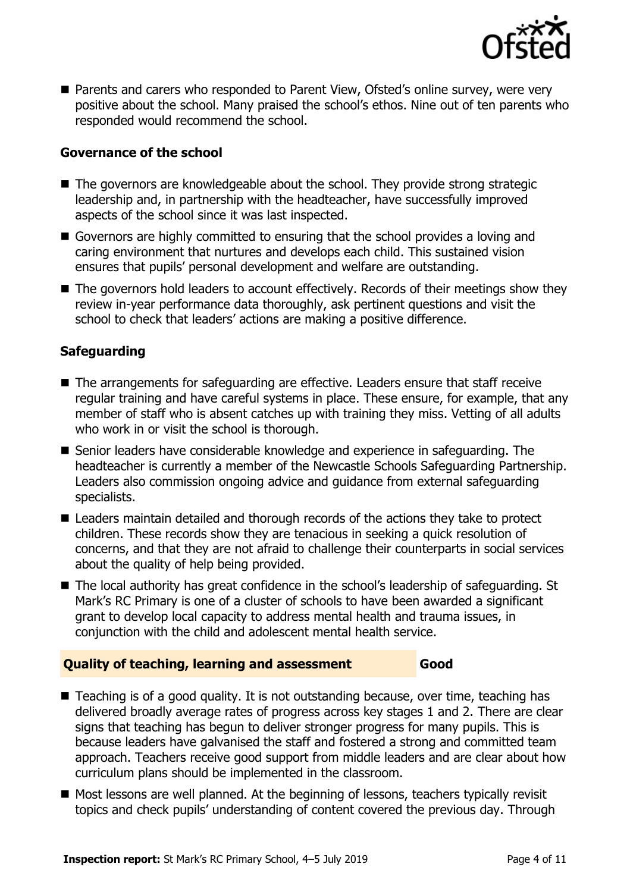

■ Parents and carers who responded to Parent View, Ofsted's online survey, were very positive about the school. Many praised the school's ethos. Nine out of ten parents who responded would recommend the school.

### **Governance of the school**

- The governors are knowledgeable about the school. They provide strong strategic leadership and, in partnership with the headteacher, have successfully improved aspects of the school since it was last inspected.
- Governors are highly committed to ensuring that the school provides a loving and caring environment that nurtures and develops each child. This sustained vision ensures that pupils' personal development and welfare are outstanding.
- The governors hold leaders to account effectively. Records of their meetings show they review in-year performance data thoroughly, ask pertinent questions and visit the school to check that leaders' actions are making a positive difference.

### **Safeguarding**

- The arrangements for safeguarding are effective. Leaders ensure that staff receive regular training and have careful systems in place. These ensure, for example, that any member of staff who is absent catches up with training they miss. Vetting of all adults who work in or visit the school is thorough.
- Senior leaders have considerable knowledge and experience in safeguarding. The headteacher is currently a member of the Newcastle Schools Safeguarding Partnership. Leaders also commission ongoing advice and guidance from external safeguarding specialists.
- Leaders maintain detailed and thorough records of the actions they take to protect children. These records show they are tenacious in seeking a quick resolution of concerns, and that they are not afraid to challenge their counterparts in social services about the quality of help being provided.
- The local authority has great confidence in the school's leadership of safeguarding. St Mark's RC Primary is one of a cluster of schools to have been awarded a significant grant to develop local capacity to address mental health and trauma issues, in conjunction with the child and adolescent mental health service.

### **Quality of teaching, learning and assessment Good**

- Teaching is of a good quality. It is not outstanding because, over time, teaching has delivered broadly average rates of progress across key stages 1 and 2. There are clear signs that teaching has begun to deliver stronger progress for many pupils. This is because leaders have galvanised the staff and fostered a strong and committed team approach. Teachers receive good support from middle leaders and are clear about how curriculum plans should be implemented in the classroom.
- Most lessons are well planned. At the beginning of lessons, teachers typically revisit topics and check pupils' understanding of content covered the previous day. Through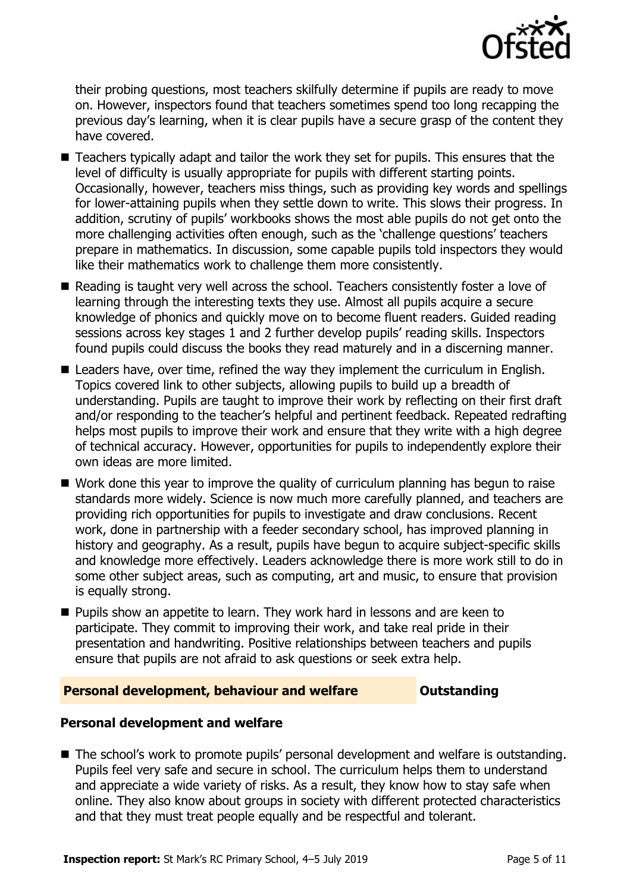

their probing questions, most teachers skilfully determine if pupils are ready to move on. However, inspectors found that teachers sometimes spend too long recapping the previous day's learning, when it is clear pupils have a secure grasp of the content they have covered.

- Teachers typically adapt and tailor the work they set for pupils. This ensures that the level of difficulty is usually appropriate for pupils with different starting points. Occasionally, however, teachers miss things, such as providing key words and spellings for lower-attaining pupils when they settle down to write. This slows their progress. In addition, scrutiny of pupils' workbooks shows the most able pupils do not get onto the more challenging activities often enough, such as the 'challenge questions' teachers prepare in mathematics. In discussion, some capable pupils told inspectors they would like their mathematics work to challenge them more consistently.
- Reading is taught very well across the school. Teachers consistently foster a love of learning through the interesting texts they use. Almost all pupils acquire a secure knowledge of phonics and quickly move on to become fluent readers. Guided reading sessions across key stages 1 and 2 further develop pupils' reading skills. Inspectors found pupils could discuss the books they read maturely and in a discerning manner.
- Leaders have, over time, refined the way they implement the curriculum in English. Topics covered link to other subjects, allowing pupils to build up a breadth of understanding. Pupils are taught to improve their work by reflecting on their first draft and/or responding to the teacher's helpful and pertinent feedback. Repeated redrafting helps most pupils to improve their work and ensure that they write with a high degree of technical accuracy. However, opportunities for pupils to independently explore their own ideas are more limited.
- Work done this year to improve the quality of curriculum planning has begun to raise standards more widely. Science is now much more carefully planned, and teachers are providing rich opportunities for pupils to investigate and draw conclusions. Recent work, done in partnership with a feeder secondary school, has improved planning in history and geography. As a result, pupils have begun to acquire subject-specific skills and knowledge more effectively. Leaders acknowledge there is more work still to do in some other subject areas, such as computing, art and music, to ensure that provision is equally strong.
- **Pupils show an appetite to learn. They work hard in lessons and are keen to** participate. They commit to improving their work, and take real pride in their presentation and handwriting. Positive relationships between teachers and pupils ensure that pupils are not afraid to ask questions or seek extra help.

### **Personal development, behaviour and welfare <b>COUNGITY COULDER** Dutstanding

### **Personal development and welfare**

■ The school's work to promote pupils' personal development and welfare is outstanding. Pupils feel very safe and secure in school. The curriculum helps them to understand and appreciate a wide variety of risks. As a result, they know how to stay safe when online. They also know about groups in society with different protected characteristics and that they must treat people equally and be respectful and tolerant.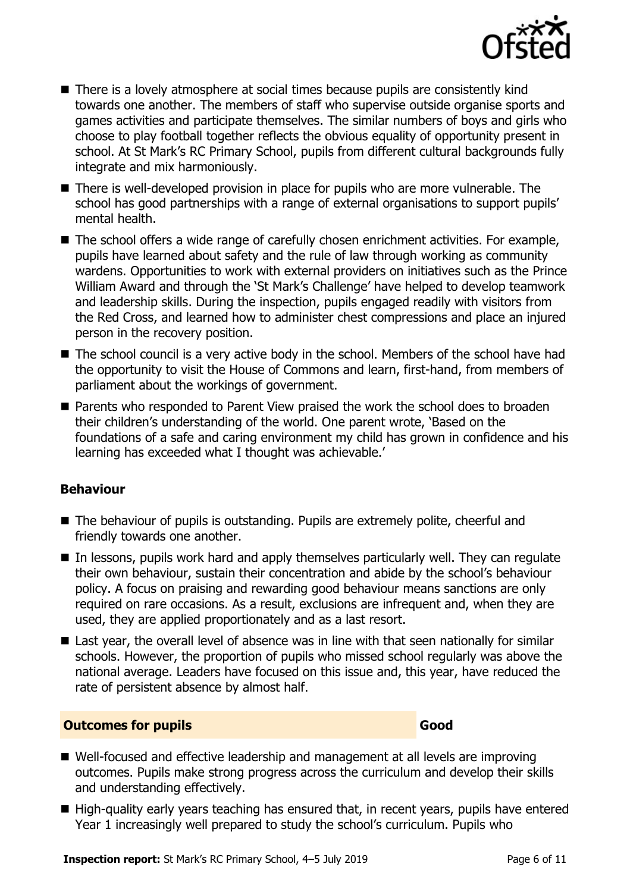

- There is a lovely atmosphere at social times because pupils are consistently kind towards one another. The members of staff who supervise outside organise sports and games activities and participate themselves. The similar numbers of boys and girls who choose to play football together reflects the obvious equality of opportunity present in school. At St Mark's RC Primary School, pupils from different cultural backgrounds fully integrate and mix harmoniously.
- There is well-developed provision in place for pupils who are more vulnerable. The school has good partnerships with a range of external organisations to support pupils' mental health.
- The school offers a wide range of carefully chosen enrichment activities. For example, pupils have learned about safety and the rule of law through working as community wardens. Opportunities to work with external providers on initiatives such as the Prince William Award and through the 'St Mark's Challenge' have helped to develop teamwork and leadership skills. During the inspection, pupils engaged readily with visitors from the Red Cross, and learned how to administer chest compressions and place an injured person in the recovery position.
- The school council is a very active body in the school. Members of the school have had the opportunity to visit the House of Commons and learn, first-hand, from members of parliament about the workings of government.
- Parents who responded to Parent View praised the work the school does to broaden their children's understanding of the world. One parent wrote, 'Based on the foundations of a safe and caring environment my child has grown in confidence and his learning has exceeded what I thought was achievable.'

### **Behaviour**

- The behaviour of pupils is outstanding. Pupils are extremely polite, cheerful and friendly towards one another.
- In lessons, pupils work hard and apply themselves particularly well. They can regulate their own behaviour, sustain their concentration and abide by the school's behaviour policy. A focus on praising and rewarding good behaviour means sanctions are only required on rare occasions. As a result, exclusions are infrequent and, when they are used, they are applied proportionately and as a last resort.
- Last year, the overall level of absence was in line with that seen nationally for similar schools. However, the proportion of pupils who missed school regularly was above the national average. Leaders have focused on this issue and, this year, have reduced the rate of persistent absence by almost half.

### **Outcomes for pupils Good Good**

- Well-focused and effective leadership and management at all levels are improving outcomes. Pupils make strong progress across the curriculum and develop their skills and understanding effectively.
- High-quality early years teaching has ensured that, in recent years, pupils have entered Year 1 increasingly well prepared to study the school's curriculum. Pupils who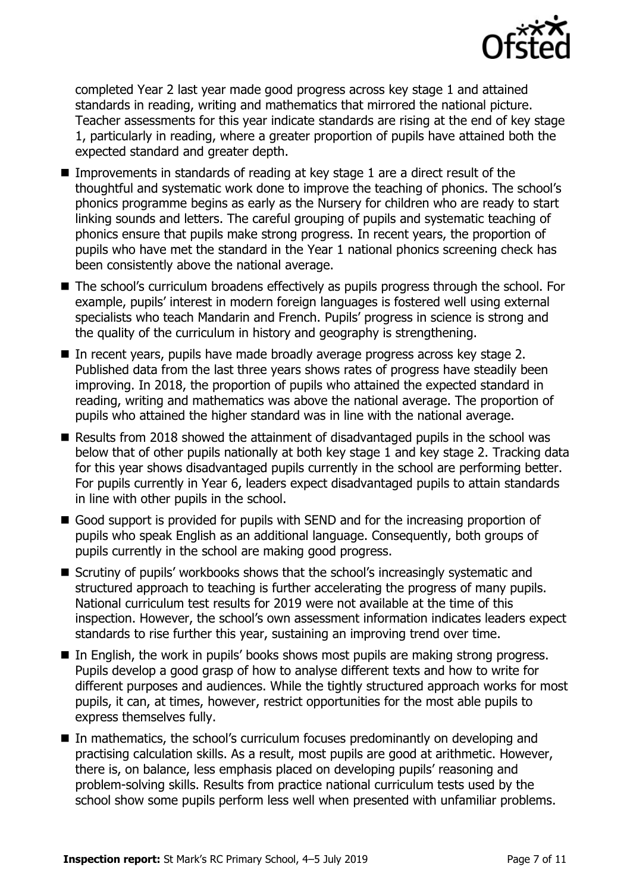

completed Year 2 last year made good progress across key stage 1 and attained standards in reading, writing and mathematics that mirrored the national picture. Teacher assessments for this year indicate standards are rising at the end of key stage 1, particularly in reading, where a greater proportion of pupils have attained both the expected standard and greater depth.

- Improvements in standards of reading at key stage 1 are a direct result of the thoughtful and systematic work done to improve the teaching of phonics. The school's phonics programme begins as early as the Nursery for children who are ready to start linking sounds and letters. The careful grouping of pupils and systematic teaching of phonics ensure that pupils make strong progress. In recent years, the proportion of pupils who have met the standard in the Year 1 national phonics screening check has been consistently above the national average.
- The school's curriculum broadens effectively as pupils progress through the school. For example, pupils' interest in modern foreign languages is fostered well using external specialists who teach Mandarin and French. Pupils' progress in science is strong and the quality of the curriculum in history and geography is strengthening.
- In recent years, pupils have made broadly average progress across key stage 2. Published data from the last three years shows rates of progress have steadily been improving. In 2018, the proportion of pupils who attained the expected standard in reading, writing and mathematics was above the national average. The proportion of pupils who attained the higher standard was in line with the national average.
- Results from 2018 showed the attainment of disadvantaged pupils in the school was below that of other pupils nationally at both key stage 1 and key stage 2. Tracking data for this year shows disadvantaged pupils currently in the school are performing better. For pupils currently in Year 6, leaders expect disadvantaged pupils to attain standards in line with other pupils in the school.
- Good support is provided for pupils with SEND and for the increasing proportion of pupils who speak English as an additional language. Consequently, both groups of pupils currently in the school are making good progress.
- Scrutiny of pupils' workbooks shows that the school's increasingly systematic and structured approach to teaching is further accelerating the progress of many pupils. National curriculum test results for 2019 were not available at the time of this inspection. However, the school's own assessment information indicates leaders expect standards to rise further this year, sustaining an improving trend over time.
- In English, the work in pupils' books shows most pupils are making strong progress. Pupils develop a good grasp of how to analyse different texts and how to write for different purposes and audiences. While the tightly structured approach works for most pupils, it can, at times, however, restrict opportunities for the most able pupils to express themselves fully.
- In mathematics, the school's curriculum focuses predominantly on developing and practising calculation skills. As a result, most pupils are good at arithmetic. However, there is, on balance, less emphasis placed on developing pupils' reasoning and problem-solving skills. Results from practice national curriculum tests used by the school show some pupils perform less well when presented with unfamiliar problems.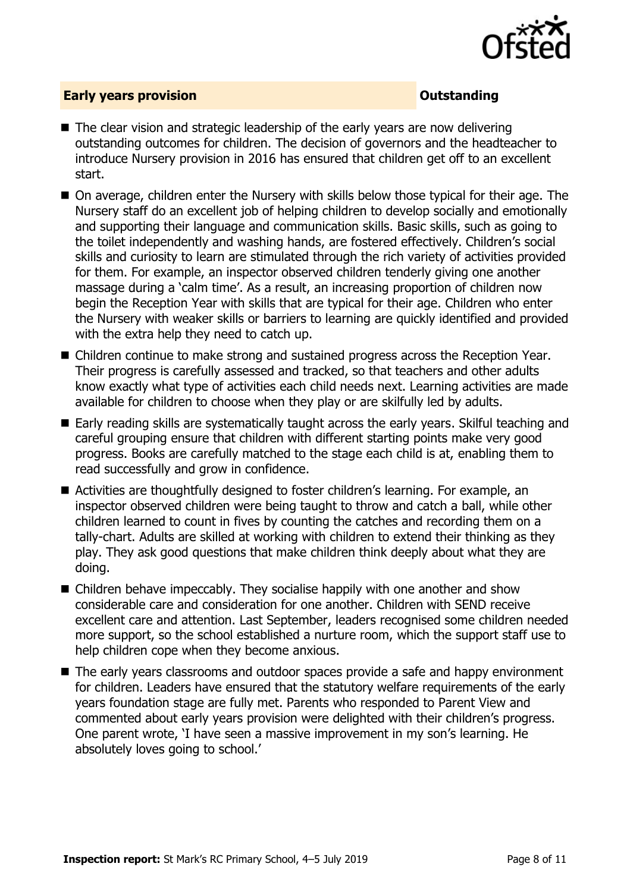

### **Early years provision CONSISTER SERVIS ASSESSED ASSESSED AT A PARTICLE AND THE SERVIS ASSESSED AT A PARTICLE AND THE SERVICE OF A PARTICLE AND THE SERVICE OF A PARTICLE AND THE SERVICE OF A PARTICLE AND THE SERVICE OF A**

- The clear vision and strategic leadership of the early years are now delivering outstanding outcomes for children. The decision of governors and the headteacher to introduce Nursery provision in 2016 has ensured that children get off to an excellent start.
- On average, children enter the Nursery with skills below those typical for their age. The Nursery staff do an excellent job of helping children to develop socially and emotionally and supporting their language and communication skills. Basic skills, such as going to the toilet independently and washing hands, are fostered effectively. Children's social skills and curiosity to learn are stimulated through the rich variety of activities provided for them. For example, an inspector observed children tenderly giving one another massage during a 'calm time'. As a result, an increasing proportion of children now begin the Reception Year with skills that are typical for their age. Children who enter the Nursery with weaker skills or barriers to learning are quickly identified and provided with the extra help they need to catch up.
- Children continue to make strong and sustained progress across the Reception Year. Their progress is carefully assessed and tracked, so that teachers and other adults know exactly what type of activities each child needs next. Learning activities are made available for children to choose when they play or are skilfully led by adults.
- Early reading skills are systematically taught across the early years. Skilful teaching and careful grouping ensure that children with different starting points make very good progress. Books are carefully matched to the stage each child is at, enabling them to read successfully and grow in confidence.
- Activities are thoughtfully designed to foster children's learning. For example, an inspector observed children were being taught to throw and catch a ball, while other children learned to count in fives by counting the catches and recording them on a tally-chart. Adults are skilled at working with children to extend their thinking as they play. They ask good questions that make children think deeply about what they are doing.
- Children behave impeccably. They socialise happily with one another and show considerable care and consideration for one another. Children with SEND receive excellent care and attention. Last September, leaders recognised some children needed more support, so the school established a nurture room, which the support staff use to help children cope when they become anxious.
- The early years classrooms and outdoor spaces provide a safe and happy environment for children. Leaders have ensured that the statutory welfare requirements of the early years foundation stage are fully met. Parents who responded to Parent View and commented about early years provision were delighted with their children's progress. One parent wrote, 'I have seen a massive improvement in my son's learning. He absolutely loves going to school.'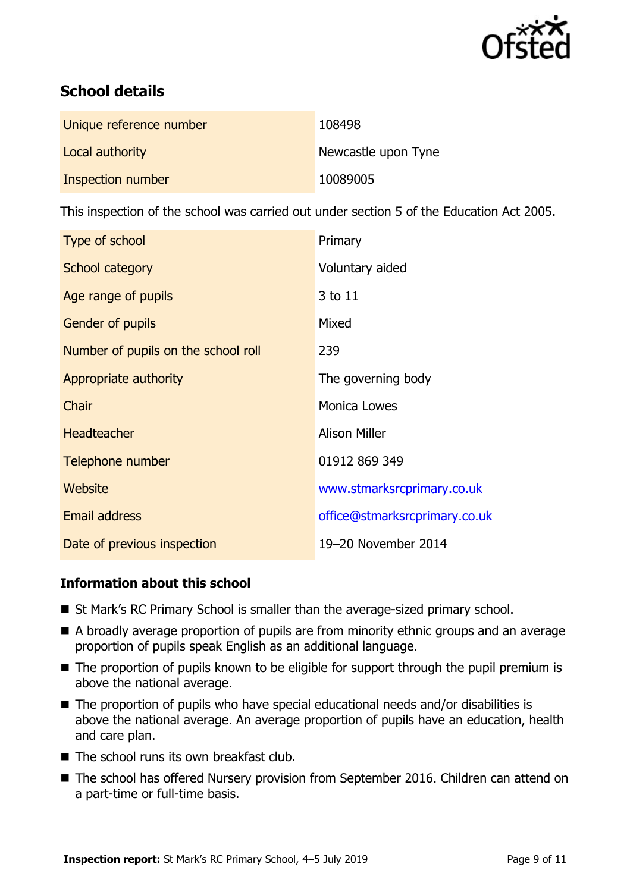

# **School details**

| Unique reference number | 108498              |
|-------------------------|---------------------|
| Local authority         | Newcastle upon Tyne |
| Inspection number       | 10089005            |

This inspection of the school was carried out under section 5 of the Education Act 2005.

| Type of school                      | Primary                       |
|-------------------------------------|-------------------------------|
| School category                     | Voluntary aided               |
| Age range of pupils                 | 3 to 11                       |
| <b>Gender of pupils</b>             | Mixed                         |
| Number of pupils on the school roll | 239                           |
| Appropriate authority               | The governing body            |
| Chair                               | <b>Monica Lowes</b>           |
| <b>Headteacher</b>                  | <b>Alison Miller</b>          |
| Telephone number                    | 01912 869 349                 |
| Website                             | www.stmarksrcprimary.co.uk    |
| <b>Email address</b>                | office@stmarksrcprimary.co.uk |
| Date of previous inspection         | 19-20 November 2014           |

### **Information about this school**

- St Mark's RC Primary School is smaller than the average-sized primary school.
- A broadly average proportion of pupils are from minority ethnic groups and an average proportion of pupils speak English as an additional language.
- The proportion of pupils known to be eligible for support through the pupil premium is above the national average.
- $\blacksquare$  The proportion of pupils who have special educational needs and/or disabilities is above the national average. An average proportion of pupils have an education, health and care plan.
- $\blacksquare$  The school runs its own breakfast club.
- The school has offered Nursery provision from September 2016. Children can attend on a part-time or full-time basis.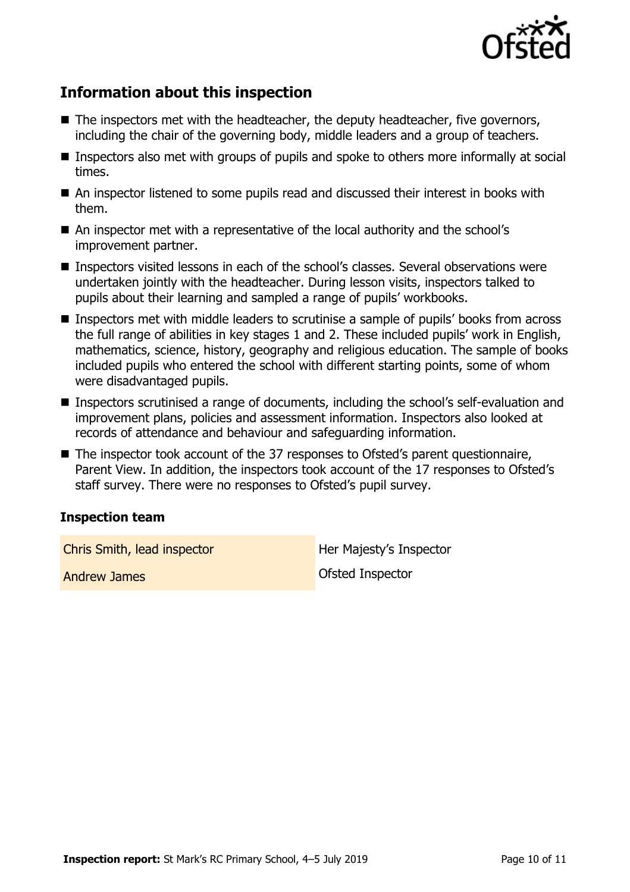

# **Information about this inspection**

- The inspectors met with the headteacher, the deputy headteacher, five governors, including the chair of the governing body, middle leaders and a group of teachers.
- **Inspectors also met with groups of pupils and spoke to others more informally at social** times.
- An inspector listened to some pupils read and discussed their interest in books with them.
- An inspector met with a representative of the local authority and the school's improvement partner.
- Inspectors visited lessons in each of the school's classes. Several observations were undertaken jointly with the headteacher. During lesson visits, inspectors talked to pupils about their learning and sampled a range of pupils' workbooks.
- Inspectors met with middle leaders to scrutinise a sample of pupils' books from across the full range of abilities in key stages 1 and 2. These included pupils' work in English, mathematics, science, history, geography and religious education. The sample of books included pupils who entered the school with different starting points, some of whom were disadvantaged pupils.
- Inspectors scrutinised a range of documents, including the school's self-evaluation and improvement plans, policies and assessment information. Inspectors also looked at records of attendance and behaviour and safeguarding information.
- The inspector took account of the 37 responses to Ofsted's parent questionnaire, Parent View. In addition, the inspectors took account of the 17 responses to Ofsted's staff survey. There were no responses to Ofsted's pupil survey.

### **Inspection team**

**Chris Smith, lead inspector Her Majesty's Inspector** 

Andrew James **Contract Contract Contract Contract Contract Contract Contract Contract Contract Contract Contract Contract Contract Contract Contract Contract Contract Contract Contract Contract Contract Contract Contract C**